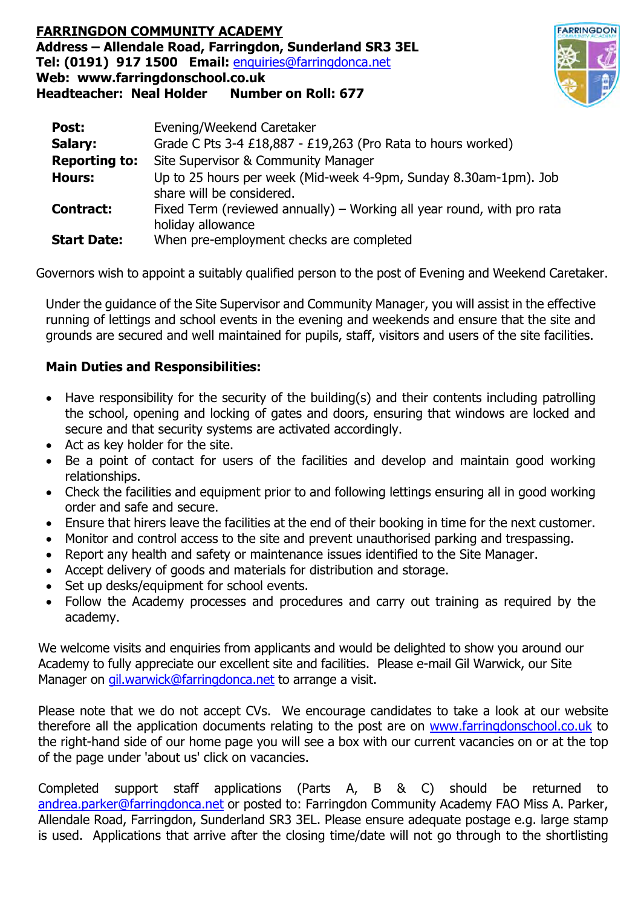## **FARRINGDON COMMUNITY ACADEMY Address –Allendale Road, Farringdon, Sunderland SR3 3EL Tel: (0191) 917 1500 Email:** enquiries@farringdonca.net **Web: www.farringdonschool.co.uk Headteacher: Neal Holder Number on Roll: 677**



| Post:                | Evening/Weekend Caretaker                                                                     |
|----------------------|-----------------------------------------------------------------------------------------------|
| Salary:              | Grade C Pts 3-4 £18,887 - £19,263 (Pro Rata to hours worked)                                  |
| <b>Reporting to:</b> | Site Supervisor & Community Manager                                                           |
| <b>Hours:</b>        | Up to 25 hours per week (Mid-week 4-9pm, Sunday 8.30am-1pm). Job<br>share will be considered. |
| <b>Contract:</b>     | Fixed Term (reviewed annually) - Working all year round, with pro rata<br>holiday allowance   |
| <b>Start Date:</b>   | When pre-employment checks are completed                                                      |

Governors wish to appoint a suitably qualified person to the post of Evening and Weekend Caretaker.

Under the guidance of the Site Supervisor and Community Manager, you will assist in the effective running of lettings and school events in the evening and weekends and ensure that the site and grounds are secured and well maintained for pupils, staff, visitors and users of the site facilities.

## **Main Duties and Responsibilities:**

- Have responsibility for the security of the building(s) and their contents including patrolling the school, opening and locking of gates and doors, ensuring that windows are locked and secure and that security systems are activated accordingly.
- Act as key holder for the site.
- Be a point of contact for users of the facilities and develop and maintain good working relationships.
- Check the facilities and equipment prior to and following lettings ensuring all in good working order and safe and secure.
- Ensure that hirers leave the facilities at the end of their booking in time for the next customer.
- Monitor and control access to the site and prevent unauthorised parking and trespassing.
- Report any health and safety or maintenance issues identified to the Site Manager.
- Accept delivery of goods and materials for distribution and storage.
- Set up desks/equipment for school events.
- Follow the Academy processes and procedures and carry out training as required by the academy.

We welcome visits and enquiries from applicants and would be delighted to show you around our Academy to fully appreciate our excellent site and facilities. Please e-mail Gil Warwick, our Site Manager on gil.warwick@farringdonca.net to arrange a visit.

Please note that we do not accept CVs. We encourage candidates to take a look at our website therefore all the application documents relating to the post are on www.farringdonschool.co.uk to the right-hand side of our home page you will see a box with our current vacancies on or at the top of the page under 'about us' click on vacancies.

Completed support staff applications (Parts A, B & C) should be returned to andrea.parker@farringdonca.net or posted to: Farringdon Community Academy FAO Miss A. Parker, Allendale Road, Farringdon, Sunderland SR3 3EL. Please ensure adequate postage e.g. large stamp is used. Applications that arrive after the closing time/date will not go through to the shortlisting